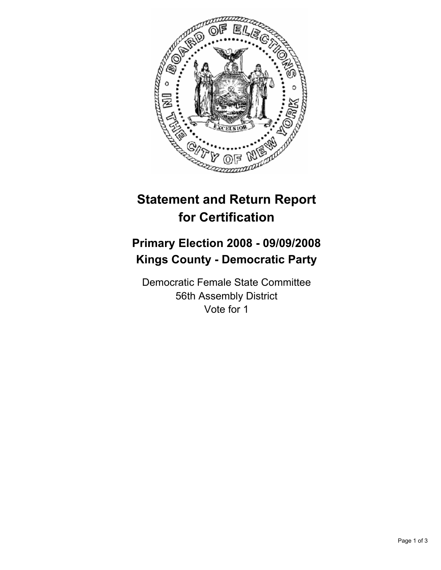

## **Statement and Return Report for Certification**

## **Primary Election 2008 - 09/09/2008 Kings County - Democratic Party**

Democratic Female State Committee 56th Assembly District Vote for 1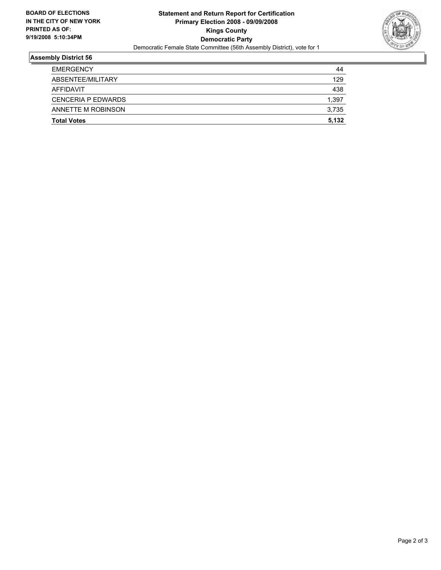

## **Assembly District 56**

| <b>EMERGENCY</b>          | 44    |
|---------------------------|-------|
| ABSENTEE/MILITARY         | 129   |
| AFFIDAVIT                 | 438   |
| <b>CENCERIA P EDWARDS</b> | 1,397 |
| ANNETTE M ROBINSON        | 3,735 |
| <b>Total Votes</b>        | 5,132 |